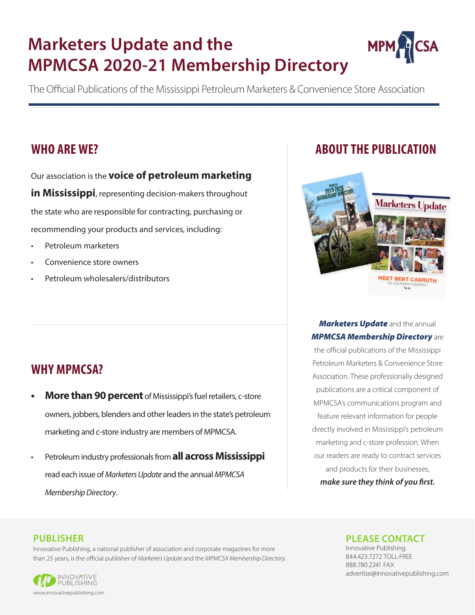# **Marketers Update and the MPMCSA 2020-21 Membership Directory**



The Official Publications of the Mississippi Petroleum Marketers & Convenience Store Association

## **WHO ARE WE?**

Our association is the **voice of petroleum marketing in Mississippi**, representing decision-makers throughout the state who are responsible for contracting, purchasing or recommending your products and services, including:

- Petroleum marketers
- Convenience store owners
- Petroleum wholesalers/distributors

## **WHY MPMCSA?**

- **More than 90 percent** of Mississippi's fuel retailers, c-store owners, jobbers, blenders and other leaders in the state's petroleum marketing and c-store industry are members of MPMCSA.
- Petroleum industry professionals from **all across Mississippi** read each issue of *Marketers Update* and the annual *MPMCSA Membership Directory*.

## **ABOUT THE PUBLICATION**



*Marketers Update* and the annual *MPMCSA Membership Directory* are

the official publications of the Mississippi Petroleum Marketers & Convenience Store Association. These professionally designed publications are a critical component of MPMCSA's communications program and feature relevant information for people directly involved in Mississippi's petroleum marketing and c-store profession. When our readers are ready to contract services and products for their businesses, *make sure they think of you first.*

### **PUBLISHER**

Innovative Publishing, a national publisher of association and corporate magazines for more than 25 years, is the official publisher of *Marketers Update* and the *MPMCSA Membership Directory.*



## **PLEASE CONTACT**

Innovative Publishing 844.423.7272 TOLL-FREE 888.780.2241 FAX advertise@innovativepublishing.com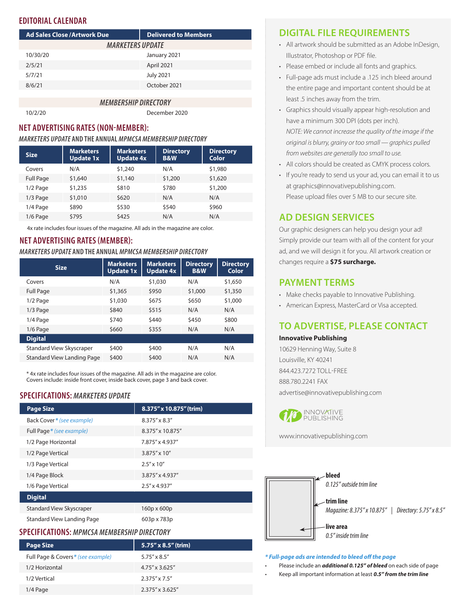## **EDITORIAL CALENDAR**

| <b>Ad Sales Close / Artwork Due</b> | <b>Delivered to Members</b> |  |
|-------------------------------------|-----------------------------|--|
| <i><b>MARKETERS UPDATE</b></i>      |                             |  |
| 10/30/20                            | January 2021                |  |
| 2/5/21                              | April 2021                  |  |
| 5/7/21                              | <b>July 2021</b>            |  |
| 8/6/21                              | October 2021                |  |
|                                     |                             |  |
| <i><b>MEMBERSHIP DIRECTORY</b></i>  |                             |  |

10/2/20 December 2020

### **NET ADVERTISING RATES (NON-MEMBER):**

#### *MARKETERS UPDATE* **AND THE ANNUAL** *MPMCSA MEMBERSHIP DIRECTORY*

| <b>Size</b>      | <b>Marketers</b><br><b>Update 1x</b> | <b>Marketers</b><br>Update 4x | <b>Directory</b><br><b>B&amp;W</b> | <b>Directory</b><br>Color |
|------------------|--------------------------------------|-------------------------------|------------------------------------|---------------------------|
| Covers           | N/A                                  | \$1,240                       | N/A                                | \$1,980                   |
| <b>Full Page</b> | \$1,640                              | \$1,140                       | \$1,200                            | \$1,620                   |
| $1/2$ Page       | \$1,235                              | \$810                         | \$780                              | \$1,200                   |
| $1/3$ Page       | \$1,010                              | \$620                         | N/A                                | N/A                       |
| 1/4 Page         | \$890                                | \$530                         | \$540                              | \$960                     |
| $1/6$ Page       | \$795                                | \$425                         | N/A                                | N/A                       |

4x rate includes four issues of the magazine. All ads in the magazine are color.

#### **NET ADVERTISING RATES (MEMBER):**

#### *MARKETERS UPDATE* **AND THE ANNUAL** *MPMCSA MEMBERSHIP DIRECTORY*

| <b>Size</b>                       | <b>Marketers</b><br>Update 1x | <b>Marketers</b><br><b>Update 4x</b> | <b>Directory</b><br><b>B&amp;W</b> | <b>Directory</b><br>Color |
|-----------------------------------|-------------------------------|--------------------------------------|------------------------------------|---------------------------|
| Covers                            | N/A                           | \$1,030                              | N/A                                | \$1,650                   |
| <b>Full Page</b>                  | \$1,365                       | \$950                                | \$1,000                            | \$1,350                   |
| $1/2$ Page                        | \$1,030                       | \$675                                | \$650                              | \$1,000                   |
| $1/3$ Page                        | \$840                         | \$515                                | N/A                                | N/A                       |
| 1/4 Page                          | \$740                         | \$440                                | \$450                              | \$800                     |
| $1/6$ Page                        | \$660                         | \$355                                | N/A                                | N/A                       |
| <b>Digital</b>                    |                               |                                      |                                    |                           |
| <b>Standard View Skyscraper</b>   | \$400                         | \$400                                | N/A                                | N/A                       |
| <b>Standard View Landing Page</b> | \$400                         | \$400                                | N/A                                | N/A                       |

\* 4x rate includes four issues of the magazine. All ads in the magazine are color. Covers include: inside front cover, inside back cover, page 3 and back cover.

#### **SPECIFICATIONS:** *MARKETERS UPDATE*

| <b>Page Size</b>                  | 8.375" x 10.875" (trim) |
|-----------------------------------|-------------------------|
| Back Cover * (see example)        | $8.375'' \times 8.3''$  |
| Full Page * (see example)         | 8.375" x 10.875"        |
| 1/2 Page Horizontal               | 7.875" x 4.937"         |
| 1/2 Page Vertical                 | 3.875" x 10"            |
| 1/3 Page Vertical                 | $2.5'' \times 10''$     |
| 1/4 Page Block                    | 3.875" x 4.937"         |
| 1/6 Page Vertical                 | $2.5'' \times 4.937''$  |
| <b>Digital</b>                    |                         |
| <b>Standard View Skyscraper</b>   | $160p \times 600p$      |
| <b>Standard View Landing Page</b> | 603p x 783p             |

### **SPECIFICATIONS:** *MPMCSA MEMBERSHIP DIRECTORY*

| <b>Page Size</b>                   | 5.75" x 8.5" (trim)      |
|------------------------------------|--------------------------|
| Full Page & Covers * (see example) | $5.75'' \times 8.5''$    |
| 1/2 Horizontal                     | $4.75'' \times 3.625''$  |
| 1/2 Vertical                       | $2.375'' \times 7.5''$   |
| $1/4$ Page                         | $2.375'' \times 3.625''$ |

## **DIGITAL FILE REQUIREMENTS**

- All artwork should be submitted as an Adobe InDesign, Illustrator, Photoshop or PDF file.
- Please embed or include all fonts and graphics.
- Full-page ads must include a .125 inch bleed around the entire page and important content should be at least .5 inches away from the trim.
- Graphics should visually appear high-resolution and have a minimum 300 DPI (dots per inch). *NOTE: We cannot increase the quality of the image if the original is blurry, grainy or too small — graphics pulled from websites are generally too small to use.*
- All colors should be created as CMYK process colors.
- If you're ready to send us your ad, you can email it to us at graphics@innovativepublishing.com. Please upload files over 5 MB to our secure site.

## **AD DESIGN SERVICES**

Our graphic designers can help you design your ad! Simply provide our team with all of the content for your ad, and we will design it for you. All artwork creation or changes require a **\$75 surcharge.**

## **PAYMENT TERMS**

- Make checks payable to Innovative Publishing.
- American Express, MasterCard or Visa accepted.

## **TO ADVERTISE, PLEASE CONTACT**

#### **Innovative Publishing**

10629 Henning Way, Suite 8 Louisville, KY 40241 844.423.7272 TOLL-FREE 888.780.2241 FAX advertise@innovativepublishing.com



www.innovativepublishing.com



#### *\* Full-page ads are intended to bleed off the page*

- Please include an *additional 0.125" of bleed* on each side of page
- Keep all important information at least *0.5" from the trim line*